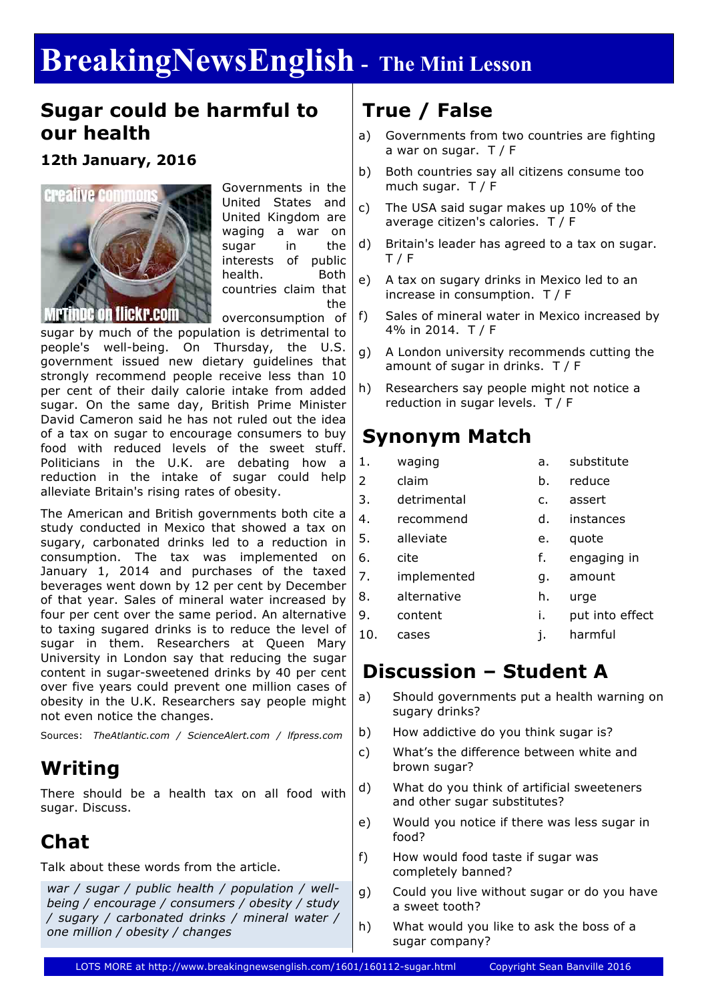# **BreakingNewsEnglish - The Mini Lesson**

#### **Sugar could be harmful to our health**

#### **12th January, 2016**



Governments in the United States and United Kingdom are waging a war on sugar in the interests of public health. Both countries claim that the

overconsumption of sugar by much of the population is detrimental to people's well-being. On Thursday, the U.S. government issued new dietary guidelines that strongly recommend people receive less than 10 per cent of their daily calorie intake from added sugar. On the same day, British Prime Minister David Cameron said he has not ruled out the idea of a tax on sugar to encourage consumers to buy food with reduced levels of the sweet stuff. Politicians in the U.K. are debating how a reduction in the intake of sugar could help alleviate Britain's rising rates of obesity.

The American and British governments both cite a study conducted in Mexico that showed a tax on sugary, carbonated drinks led to a reduction in consumption. The tax was implemented on January 1, 2014 and purchases of the taxed beverages went down by 12 per cent by December of that year. Sales of mineral water increased by four per cent over the same period. An alternative to taxing sugared drinks is to reduce the level of sugar in them. Researchers at Queen Mary University in London say that reducing the sugar content in sugar-sweetened drinks by 40 per cent over five years could prevent one million cases of obesity in the U.K. Researchers say people might not even notice the changes.

Sources: *TheAtlantic.com / ScienceAlert.com / lfpress.com*

### **Writing**

There should be a health tax on all food with sugar. Discuss.

### **Chat**

Talk about these words from the article.

*war / sugar / public health / population / wellbeing / encourage / consumers / obesity / study / sugary / carbonated drinks / mineral water / one million / obesity / changes*

### **True / False**

- a) Governments from two countries are fighting a war on sugar. T / F
- b) Both countries say all citizens consume too much sugar. T / F
- c) The USA said sugar makes up 10% of the average citizen's calories. T / F
- d) Britain's leader has agreed to a tax on sugar. T / F
- e) A tax on sugary drinks in Mexico led to an increase in consumption. T / F
- f) Sales of mineral water in Mexico increased by 4% in 2014. T / F
- g) A London university recommends cutting the amount of sugar in drinks. T / F
- h) Researchers say people might not notice a reduction in sugar levels. T / F

#### **Synonym Match**

- 1. waging a. substitute 2 claim b. reduce
- 3. detrimental c. assert
- 4. recommend d. instances
- 5. alleviate e. quote 6. cite f. engaging in 7. implemented g. amount
- 8. alternative h. urge
- 9. content i. put into effect
- 10. cases i. harmful

### **Discussion – Student A**

- a) Should governments put a health warning on sugary drinks?
- b) How addictive do you think sugar is?
- c) What's the difference between white and brown sugar?
- d) What do you think of artificial sweeteners and other sugar substitutes?
- e) Would you notice if there was less sugar in food?
- f) How would food taste if sugar was completely banned?
- g) Could you live without sugar or do you have a sweet tooth?
- h) What would you like to ask the boss of a sugar company?